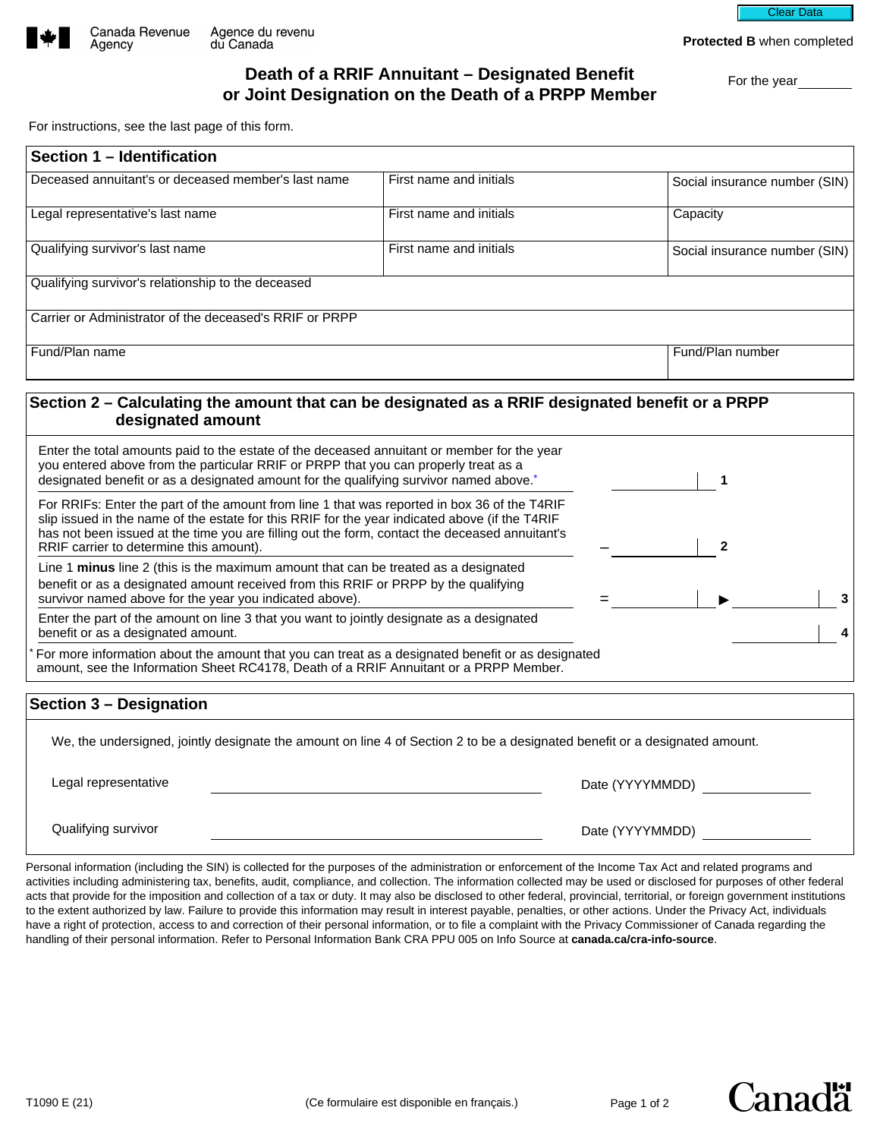

Agency

Clear Data

**Protected B** when completed

## **Death of a RRIF Annuitant – Designated Benefit beath of a RRIF Annuitant – Designated Benefit**<br>**or Joint Designation on the Death of a PRPP Member**

For instructions, see the last page of this form.

| Section 1 - Identification                                                                                                                                                                                                                                                                                                                  |                         |                 |                               |
|---------------------------------------------------------------------------------------------------------------------------------------------------------------------------------------------------------------------------------------------------------------------------------------------------------------------------------------------|-------------------------|-----------------|-------------------------------|
| Deceased annuitant's or deceased member's last name                                                                                                                                                                                                                                                                                         | First name and initials |                 | Social insurance number (SIN) |
| Legal representative's last name                                                                                                                                                                                                                                                                                                            | First name and initials |                 | Capacity                      |
| Qualifying survivor's last name                                                                                                                                                                                                                                                                                                             | First name and initials |                 | Social insurance number (SIN) |
| Qualifying survivor's relationship to the deceased                                                                                                                                                                                                                                                                                          |                         |                 |                               |
| Carrier or Administrator of the deceased's RRIF or PRPP                                                                                                                                                                                                                                                                                     |                         |                 |                               |
| Fund/Plan name                                                                                                                                                                                                                                                                                                                              |                         |                 | Fund/Plan number              |
| Section 2 – Calculating the amount that can be designated as a RRIF designated benefit or a PRPP<br>designated amount                                                                                                                                                                                                                       |                         |                 |                               |
| Enter the total amounts paid to the estate of the deceased annuitant or member for the year<br>you entered above from the particular RRIF or PRPP that you can properly treat as a<br>designated benefit or as a designated amount for the qualifying survivor named above. <sup>*</sup>                                                    |                         |                 | 1                             |
| For RRIFs: Enter the part of the amount from line 1 that was reported in box 36 of the T4RIF<br>slip issued in the name of the estate for this RRIF for the year indicated above (if the T4RIF<br>has not been issued at the time you are filling out the form, contact the deceased annuitant's<br>RRIF carrier to determine this amount). |                         |                 | $\overline{2}$                |
| Line 1 minus line 2 (this is the maximum amount that can be treated as a designated<br>benefit or as a designated amount received from this RRIF or PRPP by the qualifying<br>survivor named above for the year you indicated above).                                                                                                       |                         |                 | 3                             |
| Enter the part of the amount on line 3 that you want to jointly designate as a designated<br>benefit or as a designated amount.                                                                                                                                                                                                             |                         |                 | 4                             |
| For more information about the amount that you can treat as a designated benefit or as designated<br>amount, see the Information Sheet RC4178, Death of a RRIF Annuitant or a PRPP Member.                                                                                                                                                  |                         |                 |                               |
| Section 3 - Designation                                                                                                                                                                                                                                                                                                                     |                         |                 |                               |
| We, the undersigned, jointly designate the amount on line 4 of Section 2 to be a designated benefit or a designated amount.                                                                                                                                                                                                                 |                         |                 |                               |
| Legal representative                                                                                                                                                                                                                                                                                                                        |                         | Date (YYYYMMDD) |                               |
| Qualifying survivor                                                                                                                                                                                                                                                                                                                         |                         | Date (YYYYMMDD) |                               |

Personal information (including the SIN) is collected for the purposes of the administration or enforcement of the Income Tax Act and related programs and activities including administering tax, benefits, audit, compliance, and collection. The information collected may be used or disclosed for purposes of other federal acts that provide for the imposition and collection of a tax or duty. It may also be disclosed to other federal, provincial, territorial, or foreign government institutions to the extent authorized by law. Failure to provide this information may result in interest payable, penalties, or other actions. Under the Privacy Act, individuals have a right of protection, access to and correction of their personal information, or to file a complaint with the Privacy Commissioner of Canada regarding the handling of their personal information. Refer to Personal Information Bank CRA PPU 005 on Info Source at **canada.ca/cra-info-source**.

Canadä